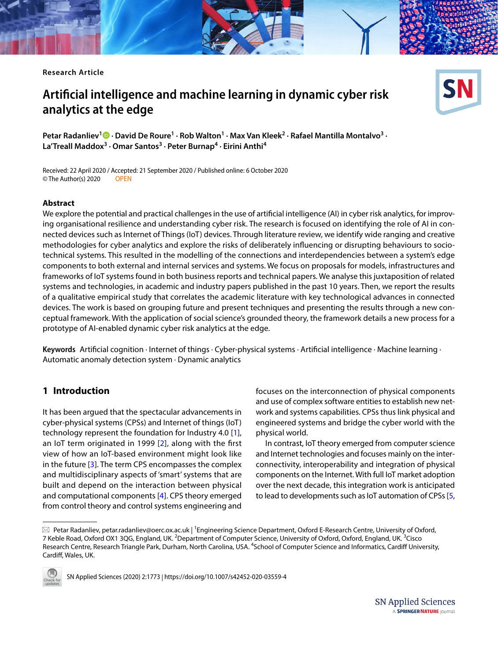**Research Article**

# **Artifcial intelligence and machine learning in dynamic cyber risk analytics at the edge**

PetarRadanliev<sup>1</sup> D · David De Roure<sup>1</sup> · Rob Walton<sup>1</sup> · Max Van Kleek<sup>2</sup> · Rafael Mantilla Montalvo<sup>3</sup> · **La'Treall Maddox3 · Omar Santos3 · Peter Burnap4 · Eirini Anthi4**

Received: 22 April 2020 / Accepted: 21 September 2020 / Published online: 6 October 2020 © The Author(s) 2020 OPEN

#### **Abstract**

We explore the potential and practical challenges in the use of artifcial intelligence (AI) in cyber risk analytics, for improving organisational resilience and understanding cyber risk. The research is focused on identifying the role of AI in connected devices such as Internet of Things (IoT) devices. Through literature review, we identify wide ranging and creative methodologies for cyber analytics and explore the risks of deliberately infuencing or disrupting behaviours to sociotechnical systems. This resulted in the modelling of the connections and interdependencies between a system's edge components to both external and internal services and systems. We focus on proposals for models, infrastructures and frameworks of IoT systems found in both business reports and technical papers. We analyse this juxtaposition of related systems and technologies, in academic and industry papers published in the past 10 years. Then, we report the results of a qualitative empirical study that correlates the academic literature with key technological advances in connected devices. The work is based on grouping future and present techniques and presenting the results through a new conceptual framework. With the application of social science's grounded theory, the framework details a new process for a prototype of AI-enabled dynamic cyber risk analytics at the edge.

**Keywords** Artifcial cognition · Internet of things · Cyber-physical systems · Artifcial intelligence · Machine learning · Automatic anomaly detection system · Dynamic analytics

# **1 Introduction**

It has been argued that the spectacular advancements in cyber-physical systems (CPSs) and Internet of things (IoT) technology represent the foundation for Industry 4.0 [\[1](#page-6-0)], an IoT term originated in 1999 [\[2\]](#page-6-1), along with the frst view of how an IoT-based environment might look like in the future [[3](#page-6-2)]. The term CPS encompasses the complex and multidisciplinary aspects of 'smart' systems that are built and depend on the interaction between physical and computational components [[4](#page-6-3)]. CPS theory emerged from control theory and control systems engineering and

focuses on the interconnection of physical components and use of complex software entities to establish new network and systems capabilities. CPSs thus link physical and engineered systems and bridge the cyber world with the physical world.

In contrast, IoT theory emerged from computer science and Internet technologies and focuses mainly on the interconnectivity, interoperability and integration of physical components on the Internet. With full IoT market adoption over the next decade, this integration work is anticipated to lead to developments such as IoT automation of CPSs [\[5](#page-6-4),

 $\boxtimes$  Petar Radanliev, petar.radanliev@oerc.ox.ac.uk | <sup>1</sup>Engineering Science Department, Oxford E-Research Centre, University of Oxford, 7 Keble Road, Oxford OX1 3QG, England, UK. <sup>2</sup>Department of Computer Science, University of Oxford, Oxford, England, UK. <sup>3</sup>Cisco Research Centre, Research Triangle Park, Durham, North Carolina, USA. <sup>4</sup>School of Computer Science and Informatics, Cardiff University, Cardif, Wales, UK.



SN Applied Sciences (2020) 2:1773 | https://doi.org/10.1007/s42452-020-03559-4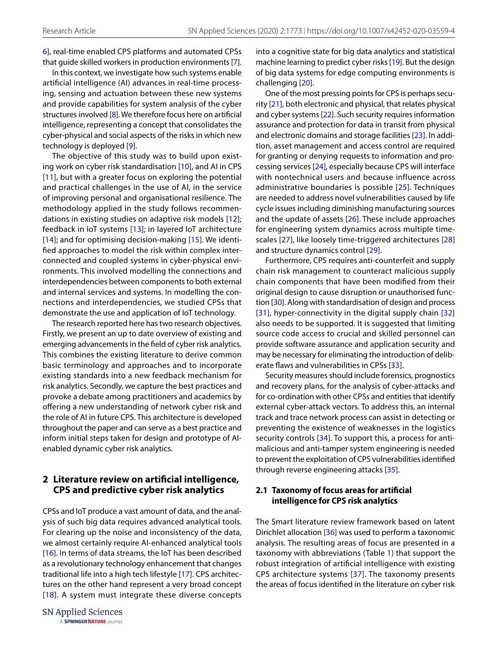[6](#page-6-5)], real-time enabled CPS platforms and automated CPSs that guide skilled workers in production environments [\[7](#page-6-6)].

In this context, we investigate how such systems enable artifcial intelligence (AI) advances in real-time processing, sensing and actuation between these new systems and provide capabilities for system analysis of the cyber structures involved [[8\]](#page-6-7). We therefore focus here on artificial intelligence, representing a concept that consolidates the cyber-physical and social aspects of the risks in which new technology is deployed [\[9](#page-6-8)].

The objective of this study was to build upon existing work on cyber risk standardisation [\[10](#page-6-9)], and AI in CPS [[11](#page-6-10)], but with a greater focus on exploring the potential and practical challenges in the use of AI, in the service of improving personal and organisational resilience. The methodology applied in the study follows recommendations in existing studies on adaptive risk models [[12\]](#page-6-11); feedback in IoT systems [[13](#page-6-12)]; in layered IoT architecture [[14](#page-6-13)]; and for optimising decision-making [\[15\]](#page-6-14). We identifed approaches to model the risk within complex interconnected and coupled systems in cyber-physical environments. This involved modelling the connections and interdependencies between components to both external and internal services and systems. In modelling the connections and interdependencies, we studied CPSs that demonstrate the use and application of IoT technology.

The research reported here has two research objectives. Firstly, we present an up to date overview of existing and emerging advancements in the feld of cyber risk analytics. This combines the existing literature to derive common basic terminology and approaches and to incorporate existing standards into a new feedback mechanism for risk analytics. Secondly, we capture the best practices and provoke a debate among practitioners and academics by ofering a new understanding of network cyber risk and the role of AI in future CPS. This architecture is developed throughout the paper and can serve as a best practice and inform initial steps taken for design and prototype of AIenabled dynamic cyber risk analytics.

## **2 Literature review on artifcial intelligence, CPS and predictive cyber risk analytics**

CPSs and IoT produce a vast amount of data, and the analysis of such big data requires advanced analytical tools. For clearing up the noise and inconsistency of the data, we almost certainly require AI-enhanced analytical tools [[16](#page-6-15)]. In terms of data streams, the IoT has been described as a revolutionary technology enhancement that changes traditional life into a high tech lifestyle [[17](#page-6-16)]. CPS architectures on the other hand represent a very broad concept [[18\]](#page-6-17). A system must integrate these diverse concepts

**SN Applied Sciences** A SPRINGER NATURE journal into a cognitive state for big data analytics and statistical machine learning to predict cyber risks [\[19\]](#page-6-18). But the design of big data systems for edge computing environments is challenging [[20](#page-6-19)].

One of the most pressing points for CPS is perhaps security [[21\]](#page-6-20), both electronic and physical, that relates physical and cyber systems [[22\]](#page-6-21). Such security requires information assurance and protection for data in transit from physical and electronic domains and storage facilities [[23\]](#page-6-22). In addition, asset management and access control are required for granting or denying requests to information and processing services [[24](#page-6-23)], especially because CPS will interface with nontechnical users and because influence across administrative boundaries is possible [\[25](#page-6-24)]. Techniques are needed to address novel vulnerabilities caused by life cycle issues including diminishing manufacturing sources and the update of assets [\[26\]](#page-6-25). These include approaches for engineering system dynamics across multiple timescales [[27](#page-6-26)], like loosely time-triggered architectures [[28](#page-6-27)] and structure dynamics control [[29\]](#page-6-28).

Furthermore, CPS requires anti-counterfeit and supply chain risk management to counteract malicious supply chain components that have been modifed from their original design to cause disruption or unauthorised function [\[30](#page-6-29)]. Along with standardisation of design and process [[31\]](#page-6-30), hyper-connectivity in the digital supply chain [[32](#page-7-0)] also needs to be supported. It is suggested that limiting source code access to crucial and skilled personnel can provide software assurance and application security and may be necessary for eliminating the introduction of deliberate faws and vulnerabilities in CPSs [[33](#page-7-1)].

Security measures should include forensics, prognostics and recovery plans, for the analysis of cyber-attacks and for co-ordination with other CPSs and entities that identify external cyber-attack vectors. To address this, an internal track and trace network process can assist in detecting or preventing the existence of weaknesses in the logistics security controls  $[34]$  $[34]$  $[34]$ . To support this, a process for antimalicious and anti-tamper system engineering is needed to prevent the exploitation of CPS vulnerabilities identifed through reverse engineering attacks [[35](#page-7-3)].

#### **2.1 Taxonomy of focus areas for artifcial intelligence for CPS risk analytics**

The Smart literature review framework based on latent Dirichlet allocation [[36](#page-7-4)] was used to perform a taxonomic analysis. The resulting areas of focus are presented in a taxonomy with abbreviations (Table [1](#page-2-0)) that support the robust integration of artifcial intelligence with existing CPS architecture systems [\[37](#page-7-5)]. The taxonomy presents the areas of focus identifed in the literature on cyber risk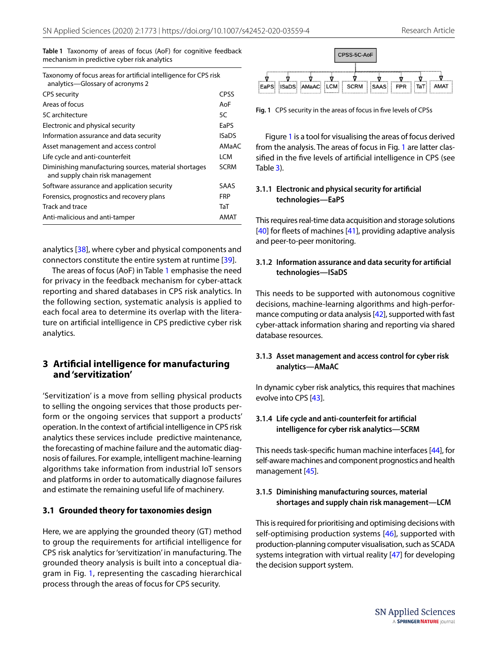<span id="page-2-0"></span>**Table 1** Taxonomy of areas of focus (AoF) for cognitive feedback mechanism in predictive cyber risk analytics

| Taxonomy of focus areas for artificial intelligence for CPS risk<br>analytics—Glossary of acronyms 2 |              |
|------------------------------------------------------------------------------------------------------|--------------|
| <b>CPS</b> security                                                                                  | CPSS         |
| Areas of focus                                                                                       | AoF          |
| 5C architecture                                                                                      | 50           |
| Electronic and physical security                                                                     | EaPS         |
| Information assurance and data security                                                              | <b>ISaDS</b> |
| Asset management and access control                                                                  | AMaAC        |
| Life cycle and anti-counterfeit                                                                      | <b>ICM</b>   |
| Diminishing manufacturing sources, material shortages<br>and supply chain risk management            | <b>SCRM</b>  |
| Software assurance and application security                                                          | <b>SAAS</b>  |
| Forensics, prognostics and recovery plans                                                            | <b>FRP</b>   |
| Track and trace                                                                                      | TaT          |
| Anti-malicious and anti-tamper                                                                       | AMAT         |

analytics [[38\]](#page-7-6), where cyber and physical components and connectors constitute the entire system at runtime [[39\]](#page-7-7).

The areas of focus (AoF) in Table [1](#page-2-0) emphasise the need for privacy in the feedback mechanism for cyber-attack reporting and shared databases in CPS risk analytics. In the following section, systematic analysis is applied to each focal area to determine its overlap with the literature on artifcial intelligence in CPS predictive cyber risk analytics.

# **3 Artifcial intelligence for manufacturing and 'servitization'**

'Servitization' is a move from selling physical products to selling the ongoing services that those products perform or the ongoing services that support a products' operation. In the context of artifcial intelligence in CPS risk analytics these services include predictive maintenance, the forecasting of machine failure and the automatic diagnosis of failures. For example, intelligent machine-learning algorithms take information from industrial IoT sensors and platforms in order to automatically diagnose failures and estimate the remaining useful life of machinery.

### **3.1 Grounded theory for taxonomies design**

Here, we are applying the grounded theory (GT) method to group the requirements for artifcial intelligence for CPS risk analytics for 'servitization' in manufacturing. The grounded theory analysis is built into a conceptual diagram in Fig. [1](#page-2-1), representing the cascading hierarchical process through the areas of focus for CPS security.



<span id="page-2-1"></span>**Fig. 1** CPS security in the areas of focus in fve levels of CPSs

Figure [1](#page-2-1) is a tool for visualising the areas of focus derived from the analysis. The areas of focus in Fig. [1](#page-2-1) are latter classifed in the fve levels of artifcial intelligence in CPS (see Table [3\)](#page-4-0).

#### **3.1.1 Electronic and physical security for artifcial technologies—EaPS**

This requires real-time data acquisition and storage solutions [[40\]](#page-7-8) for fleets of machines [\[41](#page-7-9)], providing adaptive analysis and peer-to-peer monitoring.

### **3.1.2 Information assurance and data security for artifcial technologies—ISaDS**

This needs to be supported with autonomous cognitive decisions, machine-learning algorithms and high-performance computing or data analysis [[42\]](#page-7-10), supported with fast cyber-attack information sharing and reporting via shared database resources.

### **3.1.3 Asset management and access control for cyber risk analytics—AMaAC**

In dynamic cyber risk analytics, this requires that machines evolve into CPS [\[43](#page-7-11)].

### **3.1.4 Life cycle and anti‑counterfeit for artifcial intelligence for cyber risk analytics—SCRM**

This needs task-specifc human machine interfaces [\[44](#page-7-12)], for self-aware machines and component prognostics and health management [\[45](#page-7-13)].

### **3.1.5 Diminishing manufacturing sources, material shortages and supply chain risk management—LCM**

This is required for prioritising and optimising decisions with self-optimising production systems [[46](#page-7-14)], supported with production-planning computer visualisation, such as SCADA systems integration with virtual reality [[47\]](#page-7-15) for developing the decision support system.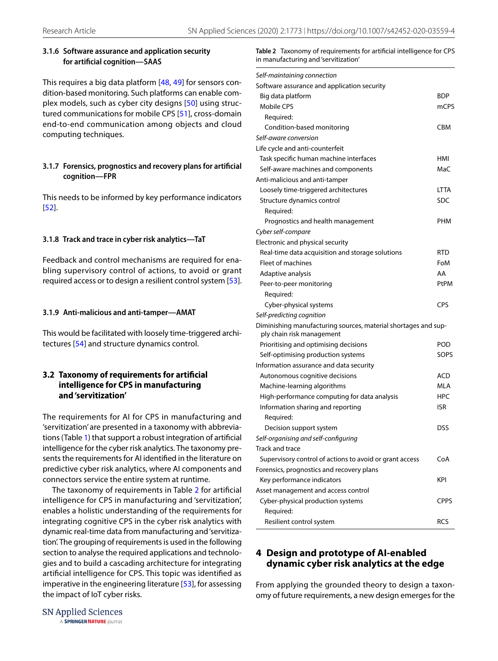## **3.1.6 Software assurance and application security for artifcial cognition—SAAS**

This requires a big data platform [\[48,](#page-7-16) [49\]](#page-7-17) for sensors condition-based monitoring. Such platforms can enable complex models, such as cyber city designs [\[50\]](#page-7-18) using structured communications for mobile CPS [[51](#page-7-19)], cross-domain end-to-end communication among objects and cloud computing techniques.

### **3.1.7 Forensics, prognostics and recovery plans for artifcial cognition—FPR**

This needs to be informed by key performance indicators [[52](#page-7-20)].

### **3.1.8 Track and trace in cyber risk analytics—TaT**

Feedback and control mechanisms are required for enabling supervisory control of actions, to avoid or grant required access or to design a resilient control system [\[53](#page-7-21)].

#### **3.1.9 Anti‑malicious and anti‑tamper—AMAT**

This would be facilitated with loosely time-triggered architectures [\[54](#page-7-22)] and structure dynamics control.

### **3.2 Taxonomy of requirements for artifcial intelligence for CPS in manufacturing and 'servitization'**

The requirements for AI for CPS in manufacturing and 'servitization' are presented in a taxonomy with abbreviations (Table [1](#page-2-0)) that support a robust integration of artifcial intelligence for the cyber risk analytics. The taxonomy presents the requirements for AI identifed in the literature on predictive cyber risk analytics, where AI components and connectors service the entire system at runtime.

The taxonomy of requirements in Table [2](#page-3-0) for artifcial intelligence for CPS in manufacturing and 'servitization', enables a holistic understanding of the requirements for integrating cognitive CPS in the cyber risk analytics with dynamic real-time data from manufacturing and 'servitization'. The grouping of requirements is used in the following section to analyse the required applications and technologies and to build a cascading architecture for integrating artifcial intelligence for CPS. This topic was identifed as imperative in the engineering literature [\[53\]](#page-7-21), for assessing the impact of IoT cyber risks.

<span id="page-3-0"></span>**Table 2** Taxonomy of requirements for artifcial intelligence for CPS in manufacturing and 'servitization'

| Self-maintaining connection                                                                 |             |
|---------------------------------------------------------------------------------------------|-------------|
| Software assurance and application security                                                 |             |
| Big data platform                                                                           | <b>BDP</b>  |
| <b>Mobile CPS</b>                                                                           | mCPS        |
| Required:                                                                                   |             |
| Condition-based monitoring                                                                  | CBM         |
| Self-aware conversion                                                                       |             |
| Life cycle and anti-counterfeit                                                             |             |
| Task specific human machine interfaces                                                      | HMI         |
| Self-aware machines and components                                                          | MaC         |
| Anti-malicious and anti-tamper                                                              |             |
| Loosely time-triggered architectures                                                        | LTTA        |
| Structure dynamics control                                                                  | SDC         |
| Required:                                                                                   |             |
| Prognostics and health management                                                           | PHM         |
| Cyber self-compare                                                                          |             |
| Electronic and physical security                                                            |             |
| Real-time data acquisition and storage solutions                                            | RTD         |
| <b>Fleet of machines</b>                                                                    | FoM         |
| Adaptive analysis                                                                           | AA          |
| Peer-to-peer monitoring                                                                     | PtPM        |
| Required:                                                                                   |             |
| Cyber-physical systems                                                                      | CPS         |
| Self-predicting cognition                                                                   |             |
| Diminishing manufacturing sources, material shortages and sup-<br>ply chain risk management |             |
| Prioritising and optimising decisions                                                       | POD         |
| Self-optimising production systems                                                          | SOPS        |
| Information assurance and data security                                                     |             |
| Autonomous cognitive decisions                                                              | ACD         |
| Machine-learning algorithms                                                                 | MLA         |
| High-performance computing for data analysis                                                | <b>HPC</b>  |
| Information sharing and reporting                                                           | <b>ISR</b>  |
| Required:                                                                                   |             |
| Decision support system                                                                     | DSS         |
| Self-organising and self-configuring                                                        |             |
| Track and trace                                                                             |             |
| Supervisory control of actions to avoid or grant access                                     | CoA         |
| Forensics, prognostics and recovery plans                                                   |             |
| Key performance indicators                                                                  | KPI         |
| Asset management and access control                                                         |             |
| Cyber-physical production systems                                                           | <b>CPPS</b> |
| Required:                                                                                   |             |
| Resilient control system                                                                    | RCS         |

# **4 Design and prototype of AI‑enabled dynamic cyber risk analytics at the edge**

From applying the grounded theory to design a taxonomy of future requirements, a new design emerges for the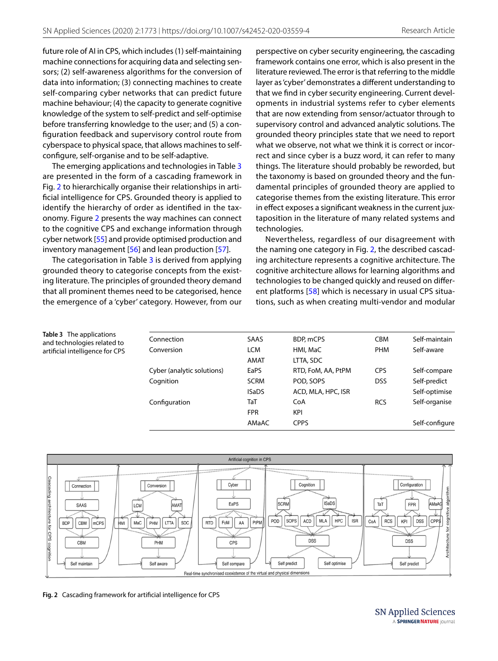future role of AI in CPS, which includes (1) self-maintaining machine connections for acquiring data and selecting sensors; (2) self-awareness algorithms for the conversion of data into information; (3) connecting machines to create self-comparing cyber networks that can predict future machine behaviour; (4) the capacity to generate cognitive knowledge of the system to self-predict and self-optimise before transferring knowledge to the user; and (5) a confguration feedback and supervisory control route from cyberspace to physical space, that allows machines to selfconfgure, self-organise and to be self-adaptive.

The emerging applications and technologies in Table [3](#page-4-0) are presented in the form of a cascading framework in Fig. [2](#page-4-1) to hierarchically organise their relationships in artifcial intelligence for CPS. Grounded theory is applied to identify the hierarchy of order as identifed in the taxonomy. Figure [2](#page-4-1) presents the way machines can connect to the cognitive CPS and exchange information through cyber network [\[55](#page-7-23)] and provide optimised production and inventory management [\[56](#page-7-24)] and lean production [[57\]](#page-7-25).

The categorisation in Table [3](#page-4-0) is derived from applying grounded theory to categorise concepts from the existing literature. The principles of grounded theory demand that all prominent themes need to be categorised, hence the emergence of a 'cyber' category. However, from our

perspective on cyber security engineering, the cascading framework contains one error, which is also present in the literature reviewed. The error is that referring to the middle layer as 'cyber' demonstrates a diferent understanding to that we fnd in cyber security engineering. Current developments in industrial systems refer to cyber elements that are now extending from sensor/actuator through to supervisory control and advanced analytic solutions. The grounded theory principles state that we need to report what we observe, not what we think it is correct or incorrect and since cyber is a buzz word, it can refer to many things. The literature should probably be reworded, but the taxonomy is based on grounded theory and the fundamental principles of grounded theory are applied to categorise themes from the existing literature. This error in effect exposes a significant weakness in the current juxtaposition in the literature of many related systems and technologies.

Nevertheless, regardless of our disagreement with the naming one category in Fig. [2,](#page-4-1) the described cascading architecture represents a cognitive architecture. The cognitive architecture allows for learning algorithms and technologies to be changed quickly and reused on difer-ent platforms [[58](#page-7-26)] which is necessary in usual CPS situations, such as when creating multi-vendor and modular

| Connection                 | <b>SAAS</b>  | BDP, mCPS          | <b>CBM</b> | Self-maintain  |
|----------------------------|--------------|--------------------|------------|----------------|
| Conversion                 | <b>LCM</b>   | HMI, MaC           | <b>PHM</b> | Self-aware     |
|                            | AMAT         | LTTA, SDC          |            |                |
| Cyber (analytic solutions) | EaPS         | RTD, FoM, AA, PtPM | <b>CPS</b> | Self-compare   |
| Cognition                  | <b>SCRM</b>  | POD, SOPS          | <b>DSS</b> | Self-predict   |
|                            | <b>ISaDS</b> | ACD, MLA, HPC, ISR |            | Self-optimise  |
| Configuration              | ТаТ          | CoA                | <b>RCS</b> | Self-organise  |
|                            | <b>FPR</b>   | KPI                |            |                |
|                            | AMaAC        | <b>CPPS</b>        |            | Self-configure |



<span id="page-4-1"></span>**Fig. 2** Cascading framework for artifcial intelligence for CPS

**SN Applied Sciences** A SPRINGER NATURE journal

<span id="page-4-0"></span>**Table 3** The applications and technologies related to artifcial intelligence for CPS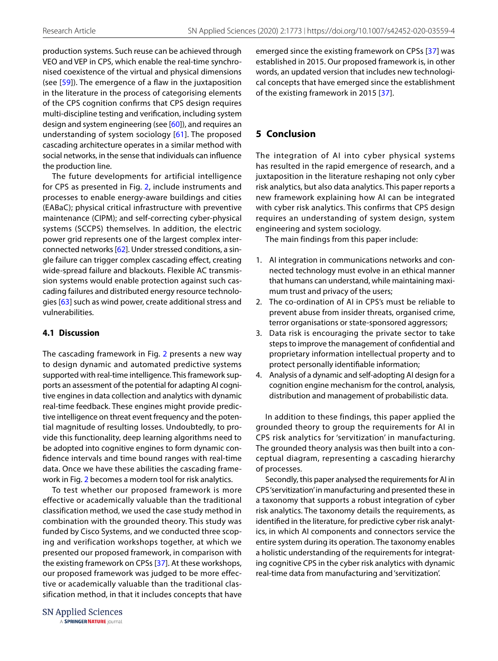production systems. Such reuse can be achieved through VEO and VEP in CPS, which enable the real-time synchronised coexistence of the virtual and physical dimensions (see [[59\]](#page-7-27)). The emergence of a flaw in the juxtaposition in the literature in the process of categorising elements of the CPS cognition confrms that CPS design requires multi-discipline testing and verifcation, including system design and system engineering (see [[60](#page-7-28)]), and requires an understanding of system sociology [\[61\]](#page-7-29). The proposed cascading architecture operates in a similar method with social networks, in the sense that individuals can infuence the production line.

The future developments for artificial intelligence for CPS as presented in Fig. [2](#page-4-1), include instruments and processes to enable energy-aware buildings and cities (EABaC); physical critical infrastructure with preventive maintenance (CIPM); and self-correcting cyber-physical systems (SCCPS) themselves. In addition, the electric power grid represents one of the largest complex interconnected networks [\[62](#page-7-30)]. Under stressed conditions, a single failure can trigger complex cascading efect, creating wide-spread failure and blackouts. Flexible AC transmission systems would enable protection against such cascading failures and distributed energy resource technologies [[63](#page-7-31)] such as wind power, create additional stress and vulnerabilities.

### **4.1 Discussion**

The cascading framework in Fig. [2](#page-4-1) presents a new way to design dynamic and automated predictive systems supported with real-time intelligence. This framework supports an assessment of the potential for adapting AI cognitive engines in data collection and analytics with dynamic real-time feedback. These engines might provide predictive intelligence on threat event frequency and the potential magnitude of resulting losses. Undoubtedly, to provide this functionality, deep learning algorithms need to be adopted into cognitive engines to form dynamic confdence intervals and time bound ranges with real-time data. Once we have these abilities the cascading framework in Fig. [2](#page-4-1) becomes a modern tool for risk analytics.

To test whether our proposed framework is more effective or academically valuable than the traditional classification method, we used the case study method in combination with the grounded theory. This study was funded by Cisco Systems, and we conducted three scoping and verification workshops together, at which we presented our proposed framework, in comparison with the existing framework on CPSs [[37\]](#page-7-5). At these workshops, our proposed framework was judged to be more effective or academically valuable than the traditional classification method, in that it includes concepts that have

emerged since the existing framework on CPSs [[37\]](#page-7-5) was established in 2015. Our proposed framework is, in other words, an updated version that includes new technological concepts that have emerged since the establishment of the existing framework in 2015 [[37\]](#page-7-5).

# **5 Conclusion**

The integration of AI into cyber physical systems has resulted in the rapid emergence of research, and a juxtaposition in the literature reshaping not only cyber risk analytics, but also data analytics. This paper reports a new framework explaining how AI can be integrated with cyber risk analytics. This confirms that CPS design requires an understanding of system design, system engineering and system sociology.

The main findings from this paper include:

- 1. AI integration in communications networks and connected technology must evolve in an ethical manner that humans can understand, while maintaining maximum trust and privacy of the users;
- 2. The co-ordination of AI in CPS's must be reliable to prevent abuse from insider threats, organised crime, terror organisations or state-sponsored aggressors;
- 3. Data risk is encouraging the private sector to take steps to improve the management of confdential and proprietary information intellectual property and to protect personally identifable information;
- 4. Analysis of a dynamic and self-adopting AI design for a cognition engine mechanism for the control, analysis, distribution and management of probabilistic data.

In addition to these findings, this paper applied the grounded theory to group the requirements for AI in CPS risk analytics for 'servitization' in manufacturing. The grounded theory analysis was then built into a conceptual diagram, representing a cascading hierarchy of processes.

Secondly, this paper analysed the requirements for AI in CPS 'servitization' in manufacturing and presented these in a taxonomy that supports a robust integration of cyber risk analytics. The taxonomy details the requirements, as identifed in the literature, for predictive cyber risk analytics, in which AI components and connectors service the entire system during its operation. The taxonomy enables a holistic understanding of the requirements for integrating cognitive CPS in the cyber risk analytics with dynamic real-time data from manufacturing and 'servitization'.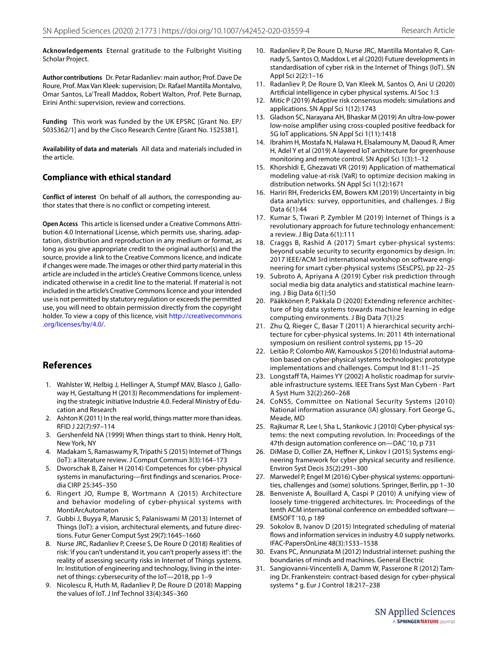**Acknowledgements** Eternal gratitude to the Fulbright Visiting Scholar Project.

**Author contributions** Dr. Petar Radanliev: main author; Prof. Dave De Roure, Prof. Max Van Kleek: supervision; Dr. Rafael Mantilla Montalvo, Omar Santos, La'Treall Maddox, Robert Walton, Prof. Pete Burnap, Eirini Anthi: supervision, review and corrections.

**Funding** This work was funded by the UK EPSRC [Grant No. EP/ S035362/1] and by the Cisco Research Centre [Grant No. 1525381].

**Availability of data and materials** All data and materials included in the article.

#### **Compliance with ethical standard**

**Conflict of interest** On behalf of all authors, the corresponding author states that there is no confict or competing interest.

**Open Access** This article is licensed under a Creative Commons Attribution 4.0 International License, which permits use, sharing, adaptation, distribution and reproduction in any medium or format, as long as you give appropriate credit to the original author(s) and the source, provide a link to the Creative Commons licence, and indicate if changes were made. The images or other third party material in this article are included in the article's Creative Commons licence, unless indicated otherwise in a credit line to the material. If material is not included in the article's Creative Commons licence and your intended use is not permitted by statutory regulation or exceeds the permitted use, you will need to obtain permission directly from the copyright holder. To view a copy of this licence, visit [http://creativecommons](http://creativecommons.org/licenses/by/4.0/) [.org/licenses/by/4.0/](http://creativecommons.org/licenses/by/4.0/).

#### **References**

- <span id="page-6-0"></span>1. Wahlster W, Helbig J, Hellinger A, Stumpf MAV, Blasco J, Galloway H, Gestaltung H (2013) Recommendations for implementing the strategic initiative Industrie 4.0. Federal Ministry of Education and Research
- <span id="page-6-1"></span>2. Ashton K (2011) In the real world, things matter more than ideas. RFID J 22(7):97–114
- <span id="page-6-2"></span>3. Gershenfeld NA (1999) When things start to think. Henry Holt, New York, NY
- <span id="page-6-3"></span>4. Madakam S, Ramaswamy R, Tripathi S (2015) Internet of Things (IoT): a literature review. J Comput Commun 3(3):164–173
- <span id="page-6-4"></span>5. Dworschak B, Zaiser H (2014) Competences for cyber-physical systems in manufacturing—frst fndings and scenarios. Procedia CIRP 25:345–350
- <span id="page-6-5"></span>6. Ringert JO, Rumpe B, Wortmann A (2015) Architecture and behavior modeling of cyber-physical systems with MontiArcAutomaton
- <span id="page-6-6"></span>7. Gubbi J, Buyya R, Marusic S, Palaniswami M (2013) Internet of Things (IoT): a vision, architectural elements, and future directions. Futur Gener Comput Syst 29(7):1645–1660
- <span id="page-6-7"></span>8. Nurse JRC, Radanliev P, Creese S, De Roure D (2018) Realities of risk: 'if you can't understand it, you can't properly assess it!': the reality of assessing security risks in Internet of Things systems. In: Institution of engineering and technology, living in the internet of things: cybersecurity of the IoT—2018, pp 1–9
- <span id="page-6-8"></span>9. Nicolescu R, Huth M, Radanliev P, De Roure D (2018) Mapping the values of IoT. J Inf Technol 33(4):345–360
- <span id="page-6-9"></span>10. Radanliev P, De Roure D, Nurse JRC, Mantilla Montalvo R, Cannady S, Santos O, Maddox L et al (2020) Future developments in standardisation of cyber risk in the Internet of Things (IoT). SN Appl Sci 2(2):1–16
- <span id="page-6-10"></span>11. Radanliev P, De Roure D, Van Kleek M, Santos O, Ani U (2020) Artifcial intelligence in cyber physical systems. AI Soc 1:3
- <span id="page-6-11"></span>12. Mitic P (2019) Adaptive risk consensus models: simulations and applications. SN Appl Sci 1(12):1743
- <span id="page-6-12"></span>13. Gladson SC, Narayana AH, Bhaskar M (2019) An ultra-low-power low-noise amplifer using cross-coupled positive feedback for 5G IoT applications. SN Appl Sci 1(11):1418
- <span id="page-6-13"></span>14. Ibrahim H, Mostafa N, Halawa H, Elsalamouny M, Daoud R, Amer H, Adel Y et al (2019) A layered IoT architecture for greenhouse monitoring and remote control. SN Appl Sci 1(3):1–12
- <span id="page-6-14"></span>15. Khorshidi E, Ghezavati VR (2019) Application of mathematical modeling value-at-risk (VaR) to optimize decision making in distribution networks. SN Appl Sci 1(12):1671
- <span id="page-6-15"></span>16. Hariri RH, Fredericks EM, Bowers KM (2019) Uncertainty in big data analytics: survey, opportunities, and challenges. J Big Data 6(1):44
- <span id="page-6-16"></span>17. Kumar S, Tiwari P, Zymbler M (2019) Internet of Things is a revolutionary approach for future technology enhancement: a review. J Big Data 6(1):111
- <span id="page-6-17"></span>18. Craggs B, Rashid A (2017) Smart cyber-physical systems: beyond usable security to security ergonomics by design. In: 2017 IEEE/ACM 3rd international workshop on software engineering for smart cyber-physical systems (SEsCPS), pp 22–25
- <span id="page-6-18"></span>19. Subroto A, Apriyana A (2019) Cyber risk prediction through social media big data analytics and statistical machine learning. J Big Data 6(1):50
- <span id="page-6-19"></span>20. Pääkkönen P, Pakkala D (2020) Extending reference architecture of big data systems towards machine learning in edge computing environments. J Big Data 7(1):25
- <span id="page-6-20"></span>21. Zhu Q, Rieger C, Basar T (2011) A hierarchical security architecture for cyber-physical systems. In: 2011 4th international symposium on resilient control systems, pp 15–20
- <span id="page-6-21"></span>22. Leitão P, Colombo AW, Karnouskos S (2016) Industrial automation based on cyber-physical systems technologies: prototype implementations and challenges. Comput Ind 81:11–25
- <span id="page-6-22"></span>23. Longstaff TA, Haimes YY (2002) A holistic roadmap for survivable infrastructure systems. IEEE Trans Syst Man Cybern - Part A Syst Hum 32(2):260–268
- <span id="page-6-23"></span>24. CoNSS, Committee on National Security Systems (2010) National information assurance (IA) glossary. Fort George G., Meade, MD
- <span id="page-6-24"></span>25. Rajkumar R, Lee I, Sha L, Stankovic J (2010) Cyber-physical systems: the next computing revolution. In: Proceedings of the 47th design automation conference on—DAC '10, p 731
- <span id="page-6-25"></span>26. DiMase D, Collier ZA, Hefner K, Linkov I (2015) Systems engineering framework for cyber physical security and resilience. Environ Syst Decis 35(2):291–300
- <span id="page-6-26"></span>27. Marwedel P, Engel M (2016) Cyber-physical systems: opportunities, challenges and (some) solutions. Springer, Berlin, pp 1–30
- <span id="page-6-27"></span>28. Benveniste A, Bouillard A, Caspi P (2010) A unifying view of loosely time-triggered architectures. In: Proceedings of the tenth ACM international conference on embedded software— EMSOFT '10, p 189
- <span id="page-6-28"></span>29. Sokolov B, Ivanov D (2015) Integrated scheduling of material flows and information services in industry 4.0 supply networks. IFAC-PapersOnLine 48(3):1533–1538
- <span id="page-6-29"></span>30. Evans PC, Annunziata M (2012) Industrial internet: pushing the boundaries of minds and machines. General Electric
- <span id="page-6-30"></span>31. Sangiovanni-Vincentelli A, Damm W, Passerone R (2012) Taming Dr. Frankenstein: contract-based design for cyber-physical systems \* g. Eur J Control 18:217–238